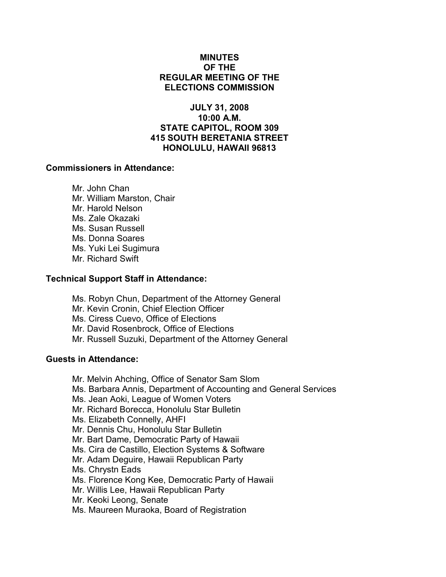# MINUTES OF THE REGULAR MEETING OF THE ELECTIONS COMMISSION

# JULY 31, 2008 10:00 A.M. STATE CAPITOL, ROOM 309 415 SOUTH BERETANIA STREET HONOLULU, HAWAII 96813

## Commissioners in Attendance:

 Mr. John Chan Mr. William Marston, Chair Mr. Harold Nelson Ms. Zale Okazaki Ms. Susan Russell Ms. Donna Soares Ms. Yuki Lei Sugimura Mr. Richard Swift

## Technical Support Staff in Attendance:

Ms. Robyn Chun, Department of the Attorney General Mr. Kevin Cronin, Chief Election Officer Ms. Ciress Cuevo, Office of Elections Mr. David Rosenbrock, Office of Elections Mr. Russell Suzuki, Department of the Attorney General

# Guests in Attendance:

- Mr. Melvin Ahching, Office of Senator Sam Slom
- Ms. Barbara Annis, Department of Accounting and General Services
- Ms. Jean Aoki, League of Women Voters
- Mr. Richard Borecca, Honolulu Star Bulletin
- Ms. Elizabeth Connelly, AHFI
- Mr. Dennis Chu, Honolulu Star Bulletin
- Mr. Bart Dame, Democratic Party of Hawaii
- Ms. Cira de Castillo, Election Systems & Software
- Mr. Adam Deguire, Hawaii Republican Party
- Ms. Chrystn Eads
- Ms. Florence Kong Kee, Democratic Party of Hawaii
- Mr. Willis Lee, Hawaii Republican Party
- Mr. Keoki Leong, Senate
- Ms. Maureen Muraoka, Board of Registration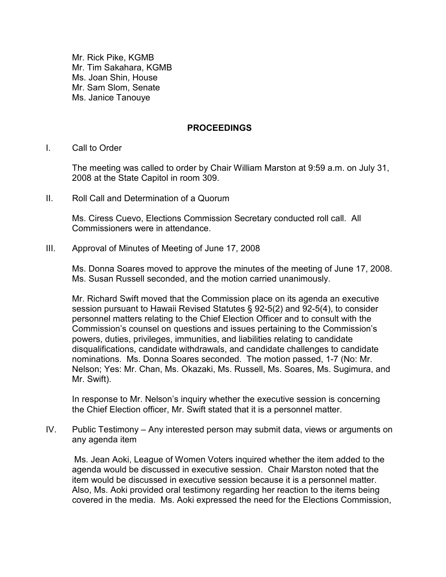Mr. Rick Pike, KGMB Mr. Tim Sakahara, KGMB Ms. Joan Shin, House Mr. Sam Slom, Senate Ms. Janice Tanouye

## PROCEEDINGS

I. Call to Order

The meeting was called to order by Chair William Marston at 9:59 a.m. on July 31, 2008 at the State Capitol in room 309.

II. Roll Call and Determination of a Quorum

Ms. Ciress Cuevo, Elections Commission Secretary conducted roll call. All Commissioners were in attendance.

III. Approval of Minutes of Meeting of June 17, 2008

Ms. Donna Soares moved to approve the minutes of the meeting of June 17, 2008. Ms. Susan Russell seconded, and the motion carried unanimously.

Mr. Richard Swift moved that the Commission place on its agenda an executive session pursuant to Hawaii Revised Statutes § 92-5(2) and 92-5(4), to consider personnel matters relating to the Chief Election Officer and to consult with the Commission's counsel on questions and issues pertaining to the Commission's powers, duties, privileges, immunities, and liabilities relating to candidate disqualifications, candidate withdrawals, and candidate challenges to candidate nominations. Ms. Donna Soares seconded. The motion passed, 1-7 (No: Mr. Nelson; Yes: Mr. Chan, Ms. Okazaki, Ms. Russell, Ms. Soares, Ms. Sugimura, and Mr. Swift).

In response to Mr. Nelson's inquiry whether the executive session is concerning the Chief Election officer, Mr. Swift stated that it is a personnel matter.

IV. Public Testimony – Any interested person may submit data, views or arguments on any agenda item

Ms. Jean Aoki, League of Women Voters inquired whether the item added to the agenda would be discussed in executive session. Chair Marston noted that the item would be discussed in executive session because it is a personnel matter. Also, Ms. Aoki provided oral testimony regarding her reaction to the items being covered in the media. Ms. Aoki expressed the need for the Elections Commission,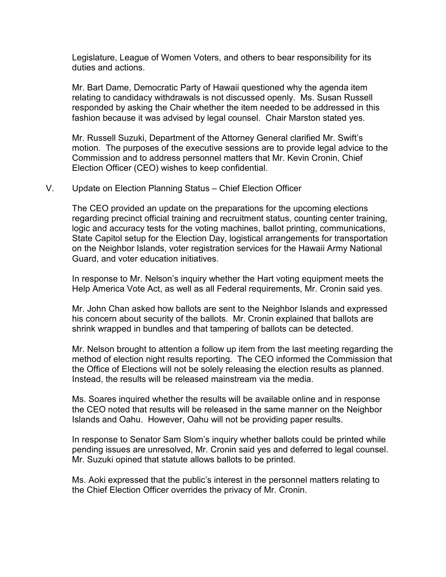Legislature, League of Women Voters, and others to bear responsibility for its duties and actions.

Mr. Bart Dame, Democratic Party of Hawaii questioned why the agenda item relating to candidacy withdrawals is not discussed openly. Ms. Susan Russell responded by asking the Chair whether the item needed to be addressed in this fashion because it was advised by legal counsel. Chair Marston stated yes.

Mr. Russell Suzuki, Department of the Attorney General clarified Mr. Swift's motion. The purposes of the executive sessions are to provide legal advice to the Commission and to address personnel matters that Mr. Kevin Cronin, Chief Election Officer (CEO) wishes to keep confidential.

#### V. Update on Election Planning Status – Chief Election Officer

The CEO provided an update on the preparations for the upcoming elections regarding precinct official training and recruitment status, counting center training, logic and accuracy tests for the voting machines, ballot printing, communications, State Capitol setup for the Election Day, logistical arrangements for transportation on the Neighbor Islands, voter registration services for the Hawaii Army National Guard, and voter education initiatives.

In response to Mr. Nelson's inquiry whether the Hart voting equipment meets the Help America Vote Act, as well as all Federal requirements, Mr. Cronin said yes.

Mr. John Chan asked how ballots are sent to the Neighbor Islands and expressed his concern about security of the ballots. Mr. Cronin explained that ballots are shrink wrapped in bundles and that tampering of ballots can be detected.

Mr. Nelson brought to attention a follow up item from the last meeting regarding the method of election night results reporting. The CEO informed the Commission that the Office of Elections will not be solely releasing the election results as planned. Instead, the results will be released mainstream via the media.

Ms. Soares inquired whether the results will be available online and in response the CEO noted that results will be released in the same manner on the Neighbor Islands and Oahu. However, Oahu will not be providing paper results.

In response to Senator Sam Slom's inquiry whether ballots could be printed while pending issues are unresolved, Mr. Cronin said yes and deferred to legal counsel. Mr. Suzuki opined that statute allows ballots to be printed.

Ms. Aoki expressed that the public's interest in the personnel matters relating to the Chief Election Officer overrides the privacy of Mr. Cronin.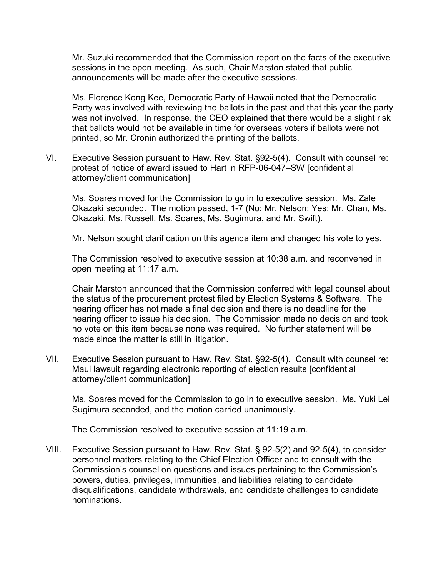Mr. Suzuki recommended that the Commission report on the facts of the executive sessions in the open meeting. As such, Chair Marston stated that public announcements will be made after the executive sessions.

Ms. Florence Kong Kee, Democratic Party of Hawaii noted that the Democratic Party was involved with reviewing the ballots in the past and that this year the party was not involved. In response, the CEO explained that there would be a slight risk that ballots would not be available in time for overseas voters if ballots were not printed, so Mr. Cronin authorized the printing of the ballots.

VI. Executive Session pursuant to Haw. Rev. Stat. §92-5(4). Consult with counsel re: protest of notice of award issued to Hart in RFP-06-047–SW [confidential attorney/client communication]

Ms. Soares moved for the Commission to go in to executive session. Ms. Zale Okazaki seconded. The motion passed, 1-7 (No: Mr. Nelson; Yes: Mr. Chan, Ms. Okazaki, Ms. Russell, Ms. Soares, Ms. Sugimura, and Mr. Swift).

Mr. Nelson sought clarification on this agenda item and changed his vote to yes.

 The Commission resolved to executive session at 10:38 a.m. and reconvened in open meeting at 11:17 a.m.

 Chair Marston announced that the Commission conferred with legal counsel about the status of the procurement protest filed by Election Systems & Software. The hearing officer has not made a final decision and there is no deadline for the hearing officer to issue his decision. The Commission made no decision and took no vote on this item because none was required. No further statement will be made since the matter is still in litigation.

VII. Executive Session pursuant to Haw. Rev. Stat. §92-5(4). Consult with counsel re: Maui lawsuit regarding electronic reporting of election results [confidential attorney/client communication]

 Ms. Soares moved for the Commission to go in to executive session. Ms. Yuki Lei Sugimura seconded, and the motion carried unanimously.

The Commission resolved to executive session at 11:19 a.m.

VIII. Executive Session pursuant to Haw. Rev. Stat. § 92-5(2) and 92-5(4), to consider personnel matters relating to the Chief Election Officer and to consult with the Commission's counsel on questions and issues pertaining to the Commission's powers, duties, privileges, immunities, and liabilities relating to candidate disqualifications, candidate withdrawals, and candidate challenges to candidate nominations.